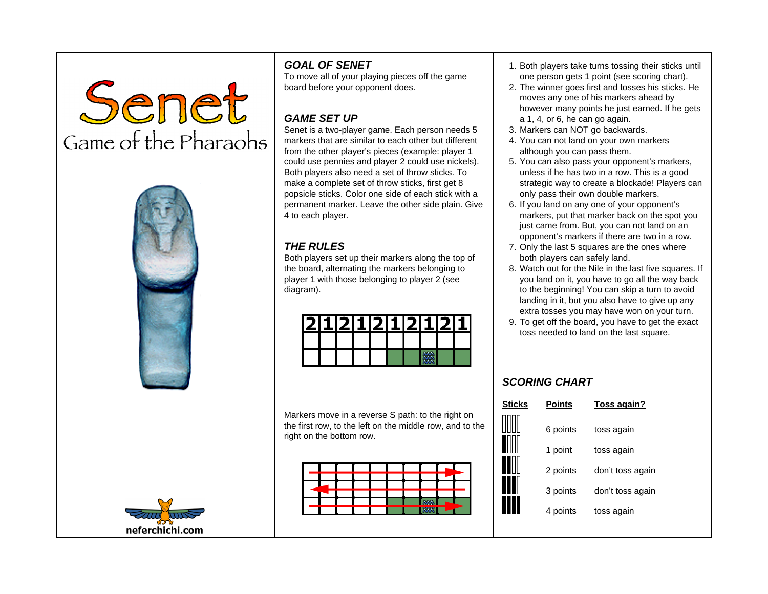Senet Game of the Pharaohs





## **GOAL OF SENET**

To move all of your playing pieces off the game board before your opponent does.

## **GAME SET UP**

Senet is a two-player game. Each person needs 5 markers that are similar to each other but different from the other player's pieces (example: player 1 could use pennies and player 2 could use nickels). Both players also need a set of throw sticks. To make a complete set of throw sticks, first get 8 popsicle sticks. Color one side of each stick with a permanent marker. Leave the other side plain. Give 4 to each player.

## **THE RULES**

Both players set up their markers along the top of the board, alternating the markers belonging to player 1 with those belonging to player 2 (see diagram).

|  |  | 121112111211 |  | LI21 |  |
|--|--|--------------|--|------|--|
|  |  |              |  |      |  |
|  |  |              |  |      |  |

Markers move in a reverse S path: to the right on the first row, to the left on the middle row, and to the right on the bottom row.



- 1. Both players take turns tossing their sticks until one person gets 1 point (see scoring chart).
- 2. The winner goes first and tosses his sticks. He moves any one of his markers ahead by however many points he just earned. If he gets a 1, 4, or 6, he can go again.
- 3. Markers can NOT go backwards.
- 4. You can not land on your own markers although you can pass them.
- 5. You can also pass your opponent's markers, unless if he has two in a row. This is a good strategic way to create a blockade! Players can only pass their own double markers.
- 6. If you land on any one of your opponent's markers, put that marker back on the spot you just came from. But, you can not land on an opponent's markers if there are two in a row.
- 7. Only the last 5 squares are the ones where both players can safely land.
- 8. Watch out for the Nile in the last five squares. If you land on it, you have to go all the way back to the beginning! You can skip a turn to avoid landing in it, but you also have to give up any extra tosses you may have won on your turn.
- 9. To get off the board, you have to get the exact toss needed to land on the last square.

## **SCORING CHART**

| <b>Sticks</b> | <b>Points</b> | Toss again?      |
|---------------|---------------|------------------|
|               | 6 points      | toss again       |
|               | 1 point       | toss again       |
|               | 2 points      | don't toss again |
|               | 3 points      | don't toss again |
|               | 4 points      | toss again       |